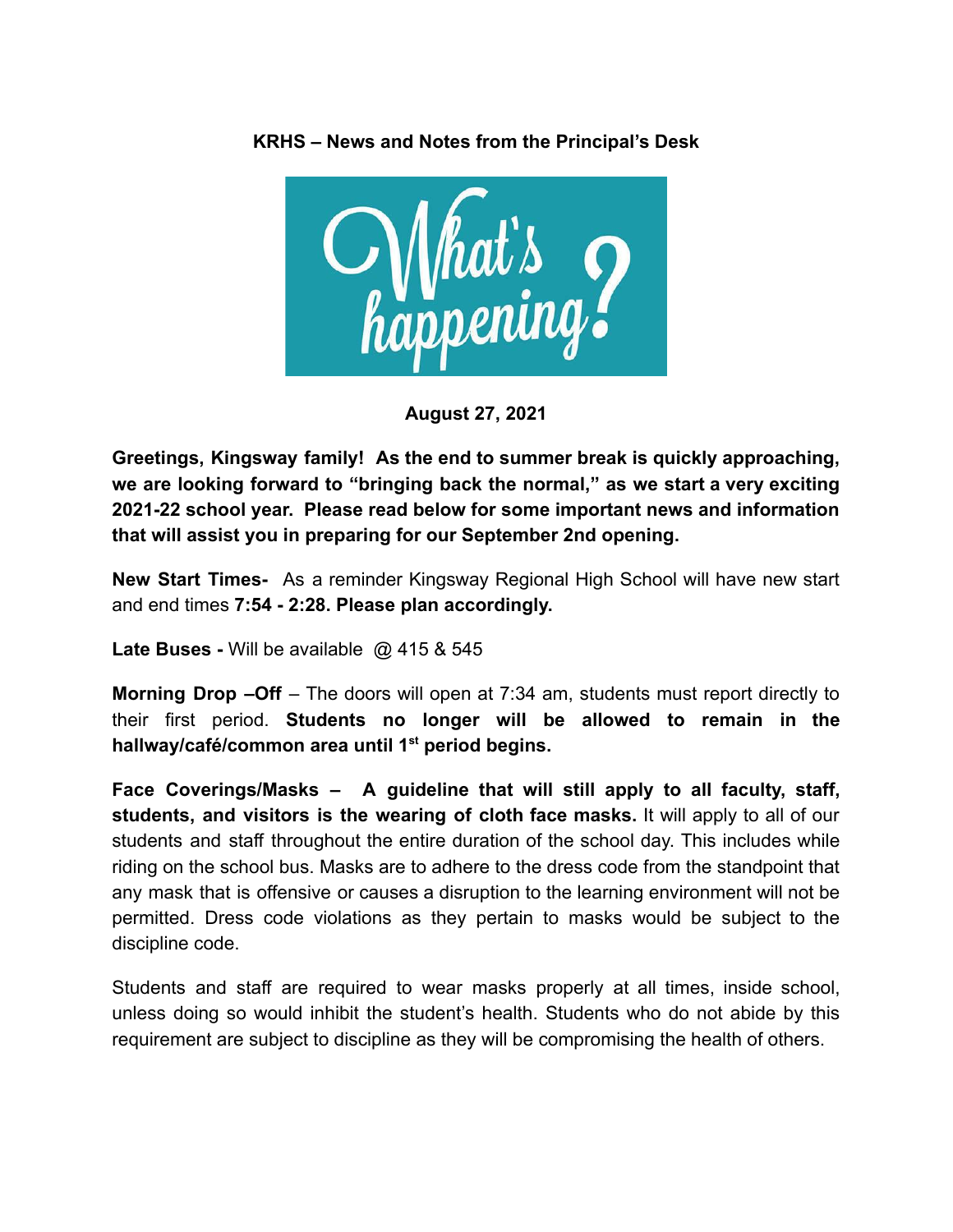



**August 27, 2021**

**Greetings, Kingsway family! As the end to summer break is quickly approaching, we are looking forward to "bringing back the normal," as we start a very exciting 2021-22 school year. Please read below for some important news and information that will assist you in preparing for our September 2nd opening.**

**New Start Times-** As a reminder Kingsway Regional High School will have new start and end times **7:54 - 2:28. Please plan accordingly.**

**Late Buses -** Will be available @ 415 & 545

**Morning Drop –Off** – The doors will open at 7:34 am, students must report directly to their first period. **Students no longer will be allowed to remain in the hallway/café/common area until 1st period begins.**

**Face Coverings/Masks – A guideline that will still apply to all faculty, staff, students, and visitors is the wearing of cloth face masks.** It will apply to all of our students and staff throughout the entire duration of the school day. This includes while riding on the school bus. Masks are to adhere to the dress code from the standpoint that any mask that is offensive or causes a disruption to the learning environment will not be permitted. Dress code violations as they pertain to masks would be subject to the discipline code.

Students and staff are required to wear masks properly at all times, inside school, unless doing so would inhibit the student's health. Students who do not abide by this requirement are subject to discipline as they will be compromising the health of others.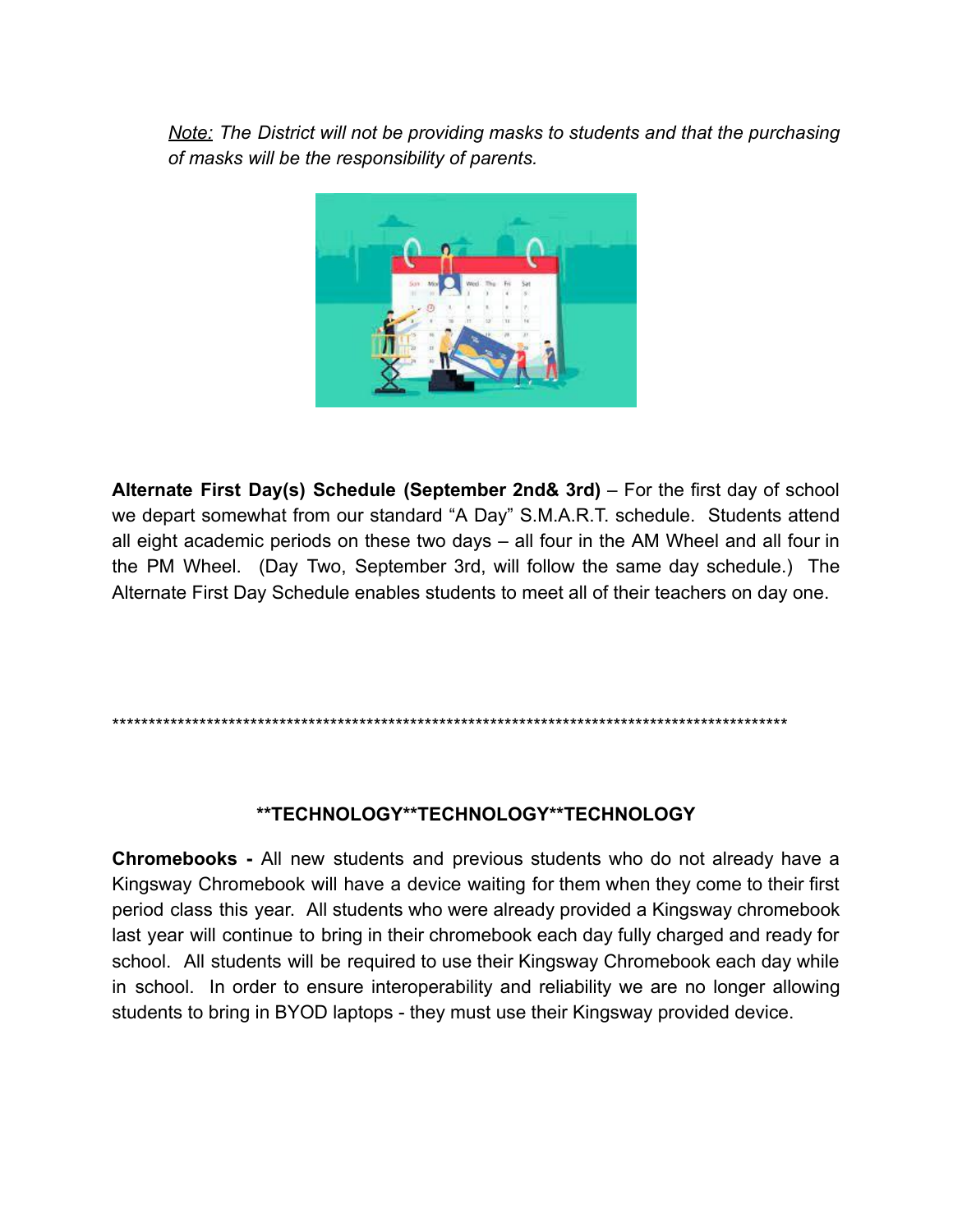Note: The District will not be providing masks to students and that the purchasing of masks will be the responsibility of parents.



Alternate First Day(s) Schedule (September 2nd& 3rd) - For the first day of school we depart somewhat from our standard "A Day" S.M.A.R.T. schedule. Students attend all eight academic periods on these two days - all four in the AM Wheel and all four in the PM Wheel. (Day Two, September 3rd, will follow the same day schedule.) The Alternate First Day Schedule enables students to meet all of their teachers on day one.

#### \*\*TECHNOLOGY\*\*TECHNOLOGY\*\*TECHNOLOGY

**Chromebooks** - All new students and previous students who do not already have a Kingsway Chromebook will have a device waiting for them when they come to their first period class this year. All students who were already provided a Kingsway chromebook last year will continue to bring in their chromebook each day fully charged and ready for school. All students will be required to use their Kingsway Chromebook each day while in school. In order to ensure interoperability and reliability we are no longer allowing students to bring in BYOD laptops - they must use their Kingsway provided device.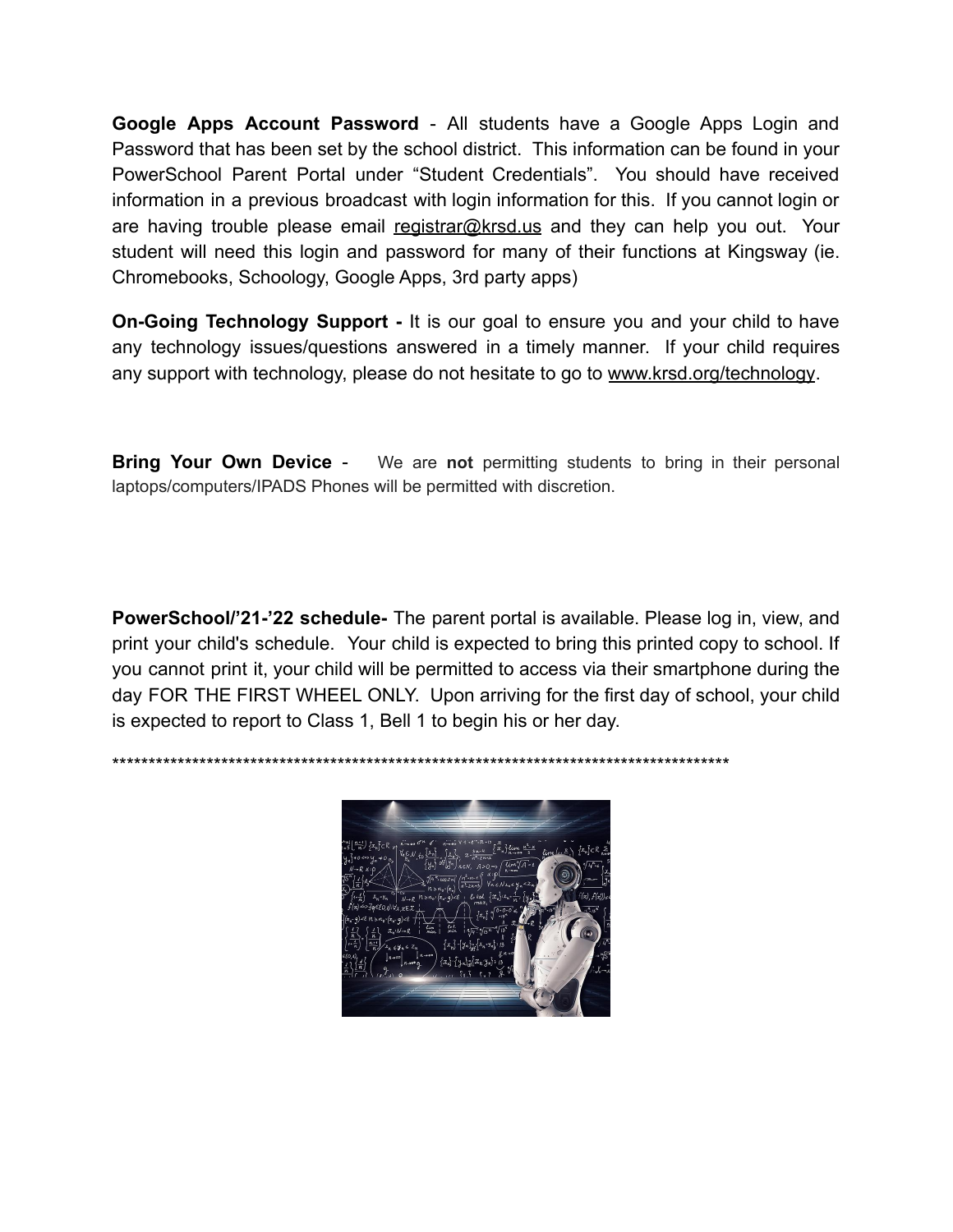**Google Apps Account Password** - All students have a Google Apps Login and Password that has been set by the school district. This information can be found in your PowerSchool Parent Portal under "Student Credentials". You should have received information in a previous broadcast with login information for this. If you cannot login or are having trouble please email registrar@krsd.us and they can help you out. Your student will need this login and password for many of their functions at Kingsway (ie. Chromebooks, Schoology, Google Apps, 3rd party apps)

**On-Going Technology Support -** It is our goal to ensure you and your child to have any technology issues/questions answered in a timely manner. If your child requires any support with technology, please do not hesitate to go to [www.krsd.org/technology](http://www.krsd.org/technology).

**Bring Your Own Device** - We are **not** permitting students to bring in their personal laptops/computers/IPADS Phones will be permitted with discretion.

**PowerSchool/'21-'22 schedule-** The parent portal is available. Please log in, view, and print your child's schedule. Your child is expected to bring this printed copy to school. If you cannot print it, your child will be permitted to access via their smartphone during the day FOR THE FIRST WHEEL ONLY. Upon arriving for the first day of school, your child is expected to report to Class 1, Bell 1 to begin his or her day.

\*\*\*\*\*\*\*\*\*\*\*\*\*\*\*\*\*\*\*\*\*\*\*\*\*\*\*\*\*\*\*\*\*\*\*\*\*\*\*\*\*\*\*\*\*\*\*\*\*\*\*\*\*\*\*\*\*\*\*\*\*\*\*\*\*\*\*\*\*\*\*\*\*\*\*\*\*\*\*\*\*\*\*\*\*

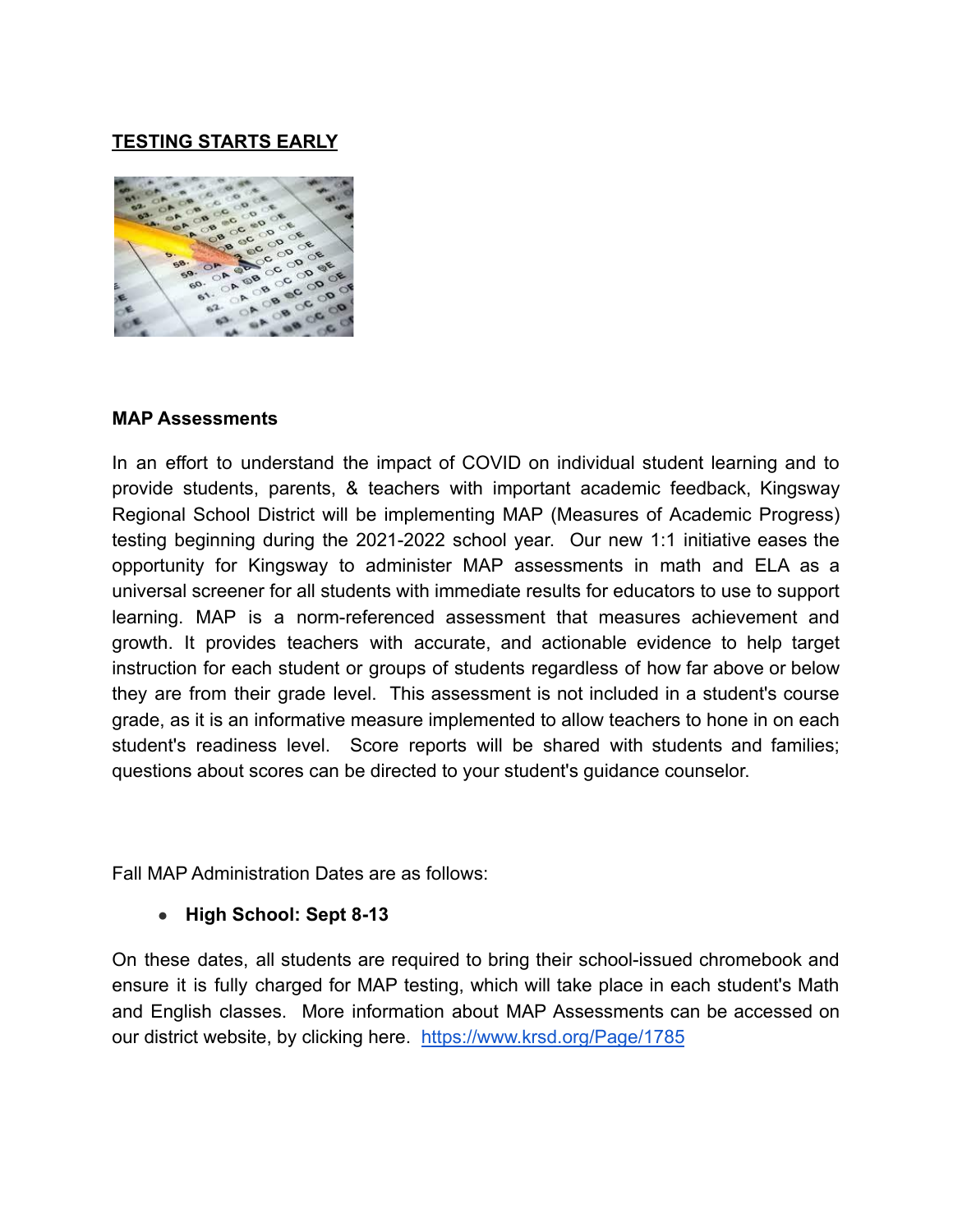# **TESTING STARTS EARLY**



#### **MAP Assessments**

In an effort to understand the impact of COVID on individual student learning and to provide students, parents, & teachers with important academic feedback, Kingsway Regional School District will be implementing MAP (Measures of Academic Progress) testing beginning during the 2021-2022 school year. Our new 1:1 initiative eases the opportunity for Kingsway to administer MAP assessments in math and ELA as a universal screener for all students with immediate results for educators to use to support learning. MAP is a norm-referenced assessment that measures achievement and growth. It provides teachers with accurate, and actionable evidence to help target instruction for each student or groups of students regardless of how far above or below they are from their grade level. This assessment is not included in a student's course grade, as it is an informative measure implemented to allow teachers to hone in on each student's readiness level. Score reports will be shared with students and families; questions about scores can be directed to your student's guidance counselor.

Fall MAP Administration Dates are as follows:

#### **● High School: Sept 8-13**

On these dates, all students are required to bring their school-issued chromebook and ensure it is fully charged for MAP testing, which will take place in each student's Math and English classes. More information about MAP [Assessments](https://www.krsd.org/Page/1785) can be accessed on [our district website, by clicking here.](https://www.krsd.org/Page/1785) <https://www.krsd.org/Page/1785>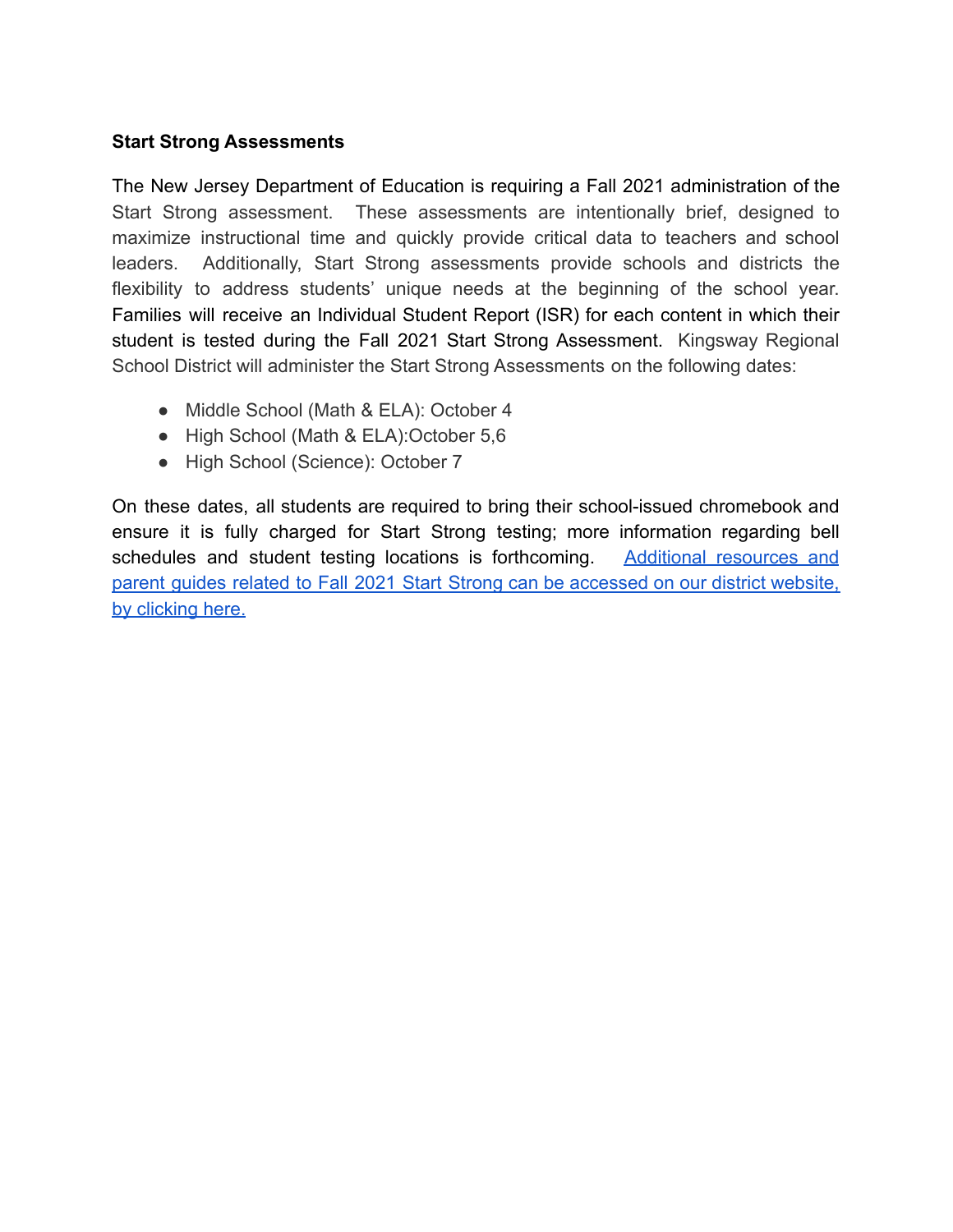## **Start Strong Assessments**

The New Jersey Department of Education is requiring a Fall 2021 administration of the Start Strong assessment. These assessments are intentionally brief, designed to maximize instructional time and quickly provide critical data to teachers and school leaders. Additionally, Start Strong assessments provide schools and districts the flexibility to address students' unique needs at the beginning of the school year. Families will receive an Individual Student Report (ISR) for each content in which their student is tested during the Fall 2021 Start Strong Assessment. Kingsway Regional School District will administer the Start Strong Assessments on the following dates:

- Middle School (Math & ELA): October 4
- High School (Math & ELA):October 5,6
- High School (Science): October 7

On these dates, all students are required to bring their school-issued chromebook and ensure it is fully charged for Start Strong testing; more information regarding bell schedules and student testing locations is forthcoming. Additional [resources](https://www.krsd.org/Page/1979) and parent guides related to Fall 2021 Start Strong can be [accessed](https://www.krsd.org/Page/1979) on our district website, [by clicking here.](https://www.krsd.org/Page/1979)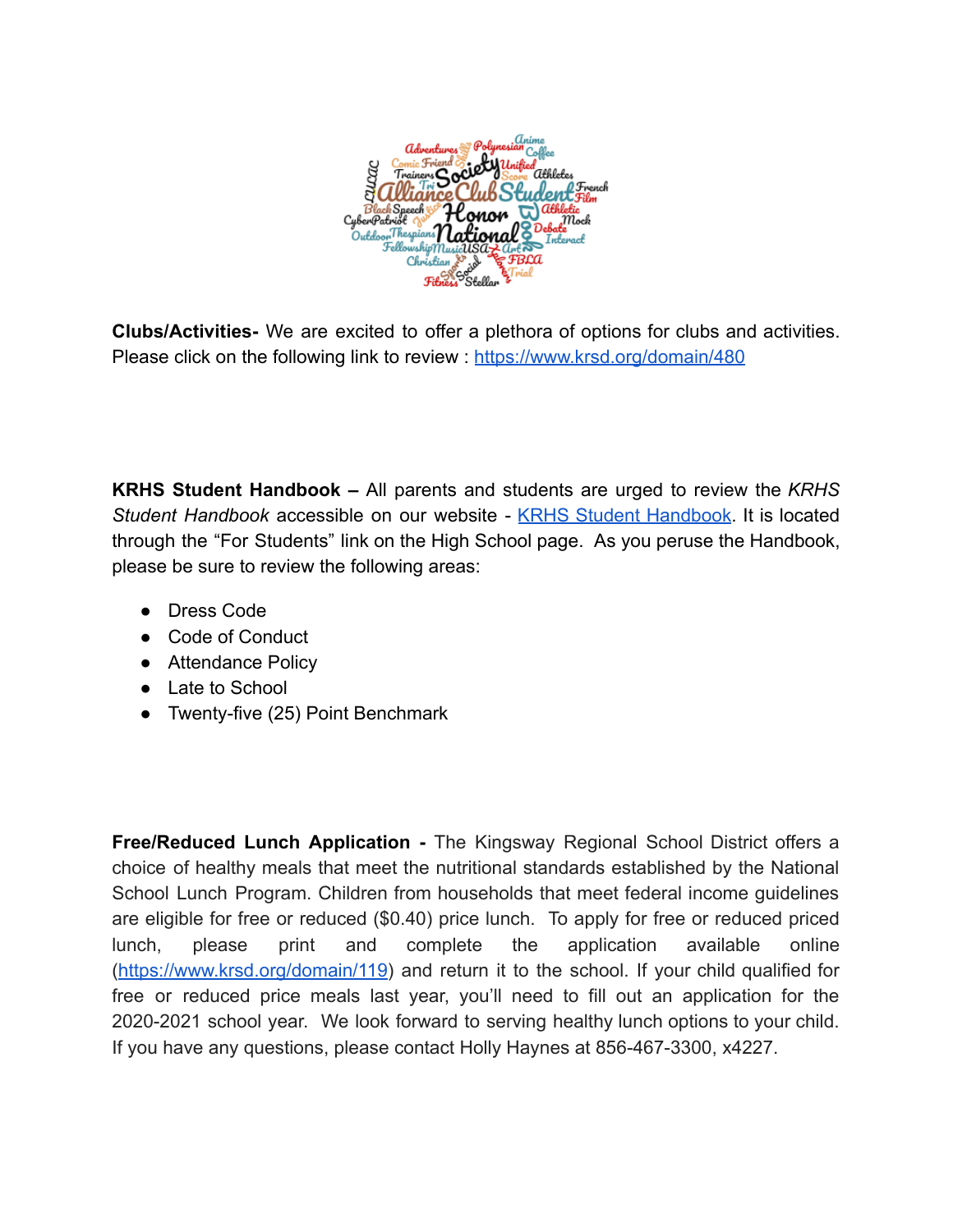

**Clubs/Activities-** We are excited to offer a plethora of options for clubs and activities. Please click on the following link to review : <https://www.krsd.org/domain/480>

**KRHS Student Handbook –** All parents and students are urged to review the *KRHS Student Handbook* accessible on our website - KRHS Student [Handbook](https://www.krsd.org/Page/982). It is located through the "For Students" link on the High School page. As you peruse the Handbook, please be sure to review the following areas:

- Dress Code
- Code of Conduct
- Attendance Policy
- Late to School
- Twenty-five (25) Point Benchmark

**Free/Reduced Lunch Application -** The Kingsway Regional School District offers a choice of healthy meals that meet the nutritional standards established by the National School Lunch Program. Children from households that meet federal income guidelines are eligible for free or reduced (\$0.40) price lunch. To apply for free or reduced priced lunch, please print and complete the application available online (<https://www.krsd.org/domain/119>) and return it to the school. If your child qualified for free or reduced price meals last year, you'll need to fill out an application for the 2020-2021 school year. We look forward to serving healthy lunch options to your child. If you have any questions, please contact Holly Haynes at 856-467-3300, x4227.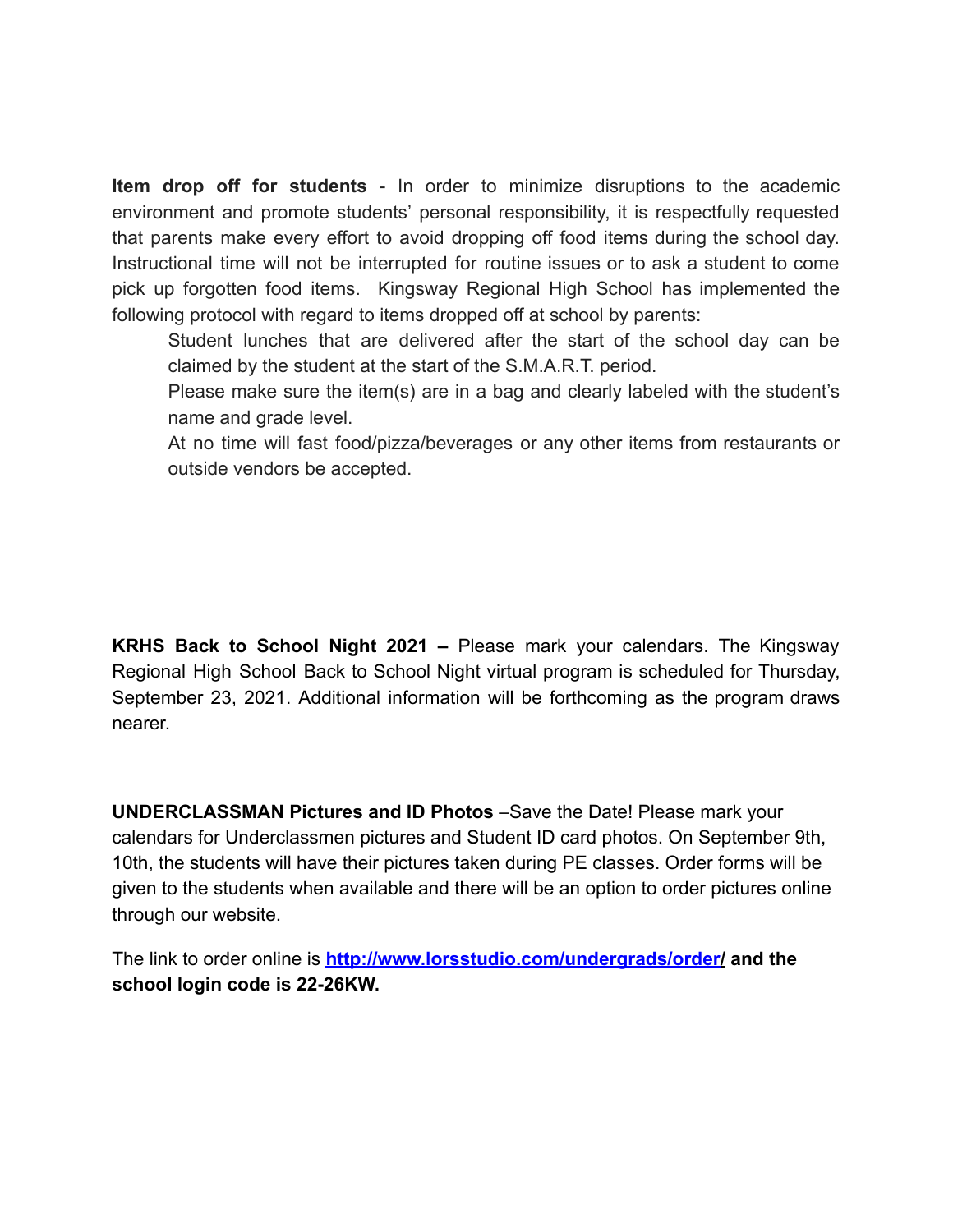**Item drop off for students** - In order to minimize disruptions to the academic environment and promote students' personal responsibility, it is respectfully requested that parents make every effort to avoid dropping off food items during the school day. Instructional time will not be interrupted for routine issues or to ask a student to come pick up forgotten food items. Kingsway Regional High School has implemented the following protocol with regard to items dropped off at school by parents:

Student lunches that are delivered after the start of the school day can be claimed by the student at the start of the S.M.A.R.T. period.

Please make sure the item(s) are in a bag and clearly labeled with the student's name and grade level.

At no time will fast food/pizza/beverages or any other items from restaurants or outside vendors be accepted.

**KRHS Back to School Night 2021 –** Please mark your calendars. The Kingsway Regional High School Back to School Night virtual program is scheduled for Thursday, September 23, 2021. Additional information will be forthcoming as the program draws nearer.

**UNDERCLASSMAN Pictures and ID Photos** –Save the Date! Please mark your calendars for Underclassmen pictures and Student ID card photos. On September 9th, 10th, the students will have their pictures taken during PE classes. Order forms will be given to the students when available and there will be an option to order pictures online through our website.

The link to order online is **<http://www.lorsstudio.com/undergrads/order/> and the school login code is 22-26KW.**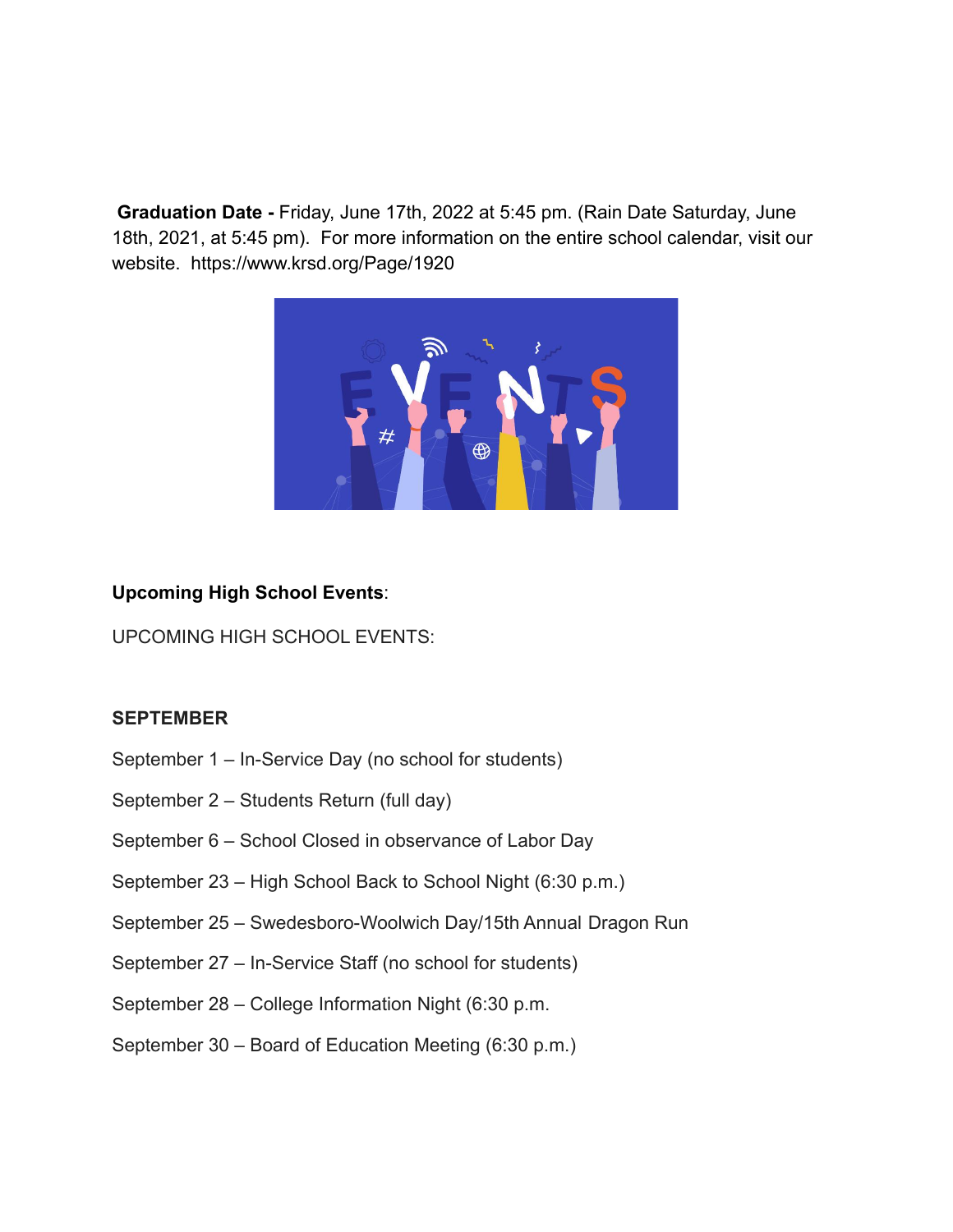**Graduation Date -** Friday, June 17th, 2022 at 5:45 pm. (Rain Date Saturday, June 18th, 2021, at 5:45 pm). For more information on the entire school calendar, visit our website. https://www.krsd.org/Page/1920



# **Upcoming High School Events**:

UPCOMING HIGH SCHOOL EVENTS:

#### **SEPTEMBER**

- September 1 In-Service Day (no school for students)
- September 2 Students Return (full day)
- September 6 School Closed in observance of Labor Day
- September 23 High School Back to School Night (6:30 p.m.)
- September 25 Swedesboro-Woolwich Day/15th Annual Dragon Run
- September 27 In-Service Staff (no school for students)
- September 28 College Information Night (6:30 p.m.
- September 30 Board of Education Meeting (6:30 p.m.)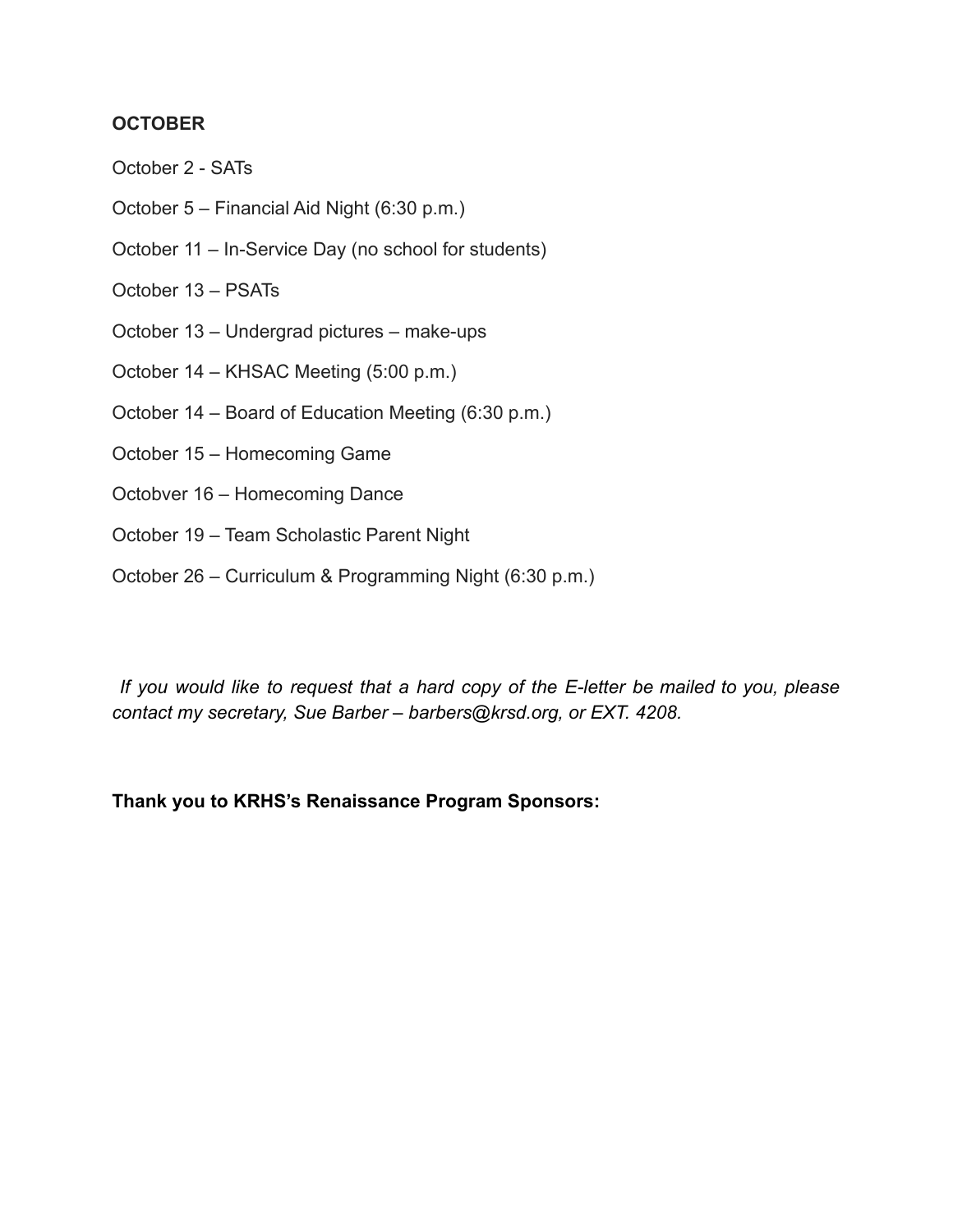## **OCTOBER**

- October 2 SATs
- October 5 Financial Aid Night (6:30 p.m.)
- October 11 In-Service Day (no school for students)
- October 13 PSATs
- October 13 Undergrad pictures make-ups
- October 14 KHSAC Meeting (5:00 p.m.)
- October 14 Board of Education Meeting (6:30 p.m.)
- October 15 Homecoming Game
- Octobver 16 Homecoming Dance
- October 19 Team Scholastic Parent Night
- October 26 Curriculum & Programming Night (6:30 p.m.)

*If you would like to request that a hard copy of the E-letter be mailed to you, please contact my secretary, Sue Barber – barbers@krsd.org, or EXT. 4208.*

# **Thank you to KRHS's Renaissance Program Sponsors:**